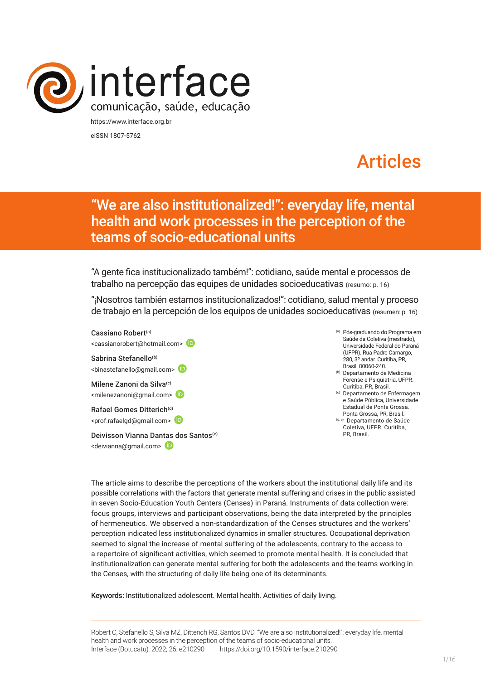

eISSN 1807-5762

# Articles

## "We are also institutionalized!": everyday life, mental health and work processes in the perception of the teams of socio-educational units

"A gente fica institucionalizado também!": cotidiano, saúde mental e processos de trabalho na percepção das equipes de unidades socioeducativas (resumo: p. 16)

"¡Nosotros también estamos institucionalizados!": cotidiano, salud mental y proceso de trabajo en la percepción de los equipos de unidades socioeducativas (resumen: p. 16)

Cassiano Robert(a) <cassianorobert@hotmail.com> Sabrina Stefanello<sup>(b)</sup> <binastefanello@gmail.com> Milene Zanoni da Silva<sup>(c)</sup> <milenezanoni@gmail.com> Rafael Gomes Ditterich<sup>(d)</sup> <prof.rafaelgd@gmail.com> Deivisson Vianna Dan[tas d](https://orcid.org/0000-0002-1198-1890)os Santos<sup>(e)</sup> <deivianna@gmail.com>

- (a) Pós-graduando do Programa em Saúde da Coletiva (mestrado), Universidade Federal do Paraná (UFPR). Rua Padre Camargo, 280, 3º andar. Curitiba, PR, Brasil. 80060-240.
- (b) Departamento de Medicina Forense e Psiquiatria, UFPR. Curitiba, PR, Brasil.
- (c) Departamento de Enfermagem e Saúde Pública, Universidade Estadual de Ponta Grossa. Ponta Grossa, PR, Brasil.
- (d, e) Departamento de Saúde Coletiva, UFPR. Curitiba, PR, Brasil.

The article aims to describe the perceptions of the workers about the institutional daily life and its possible correlations with the factors that generate mental suffering and crises in the public assisted in seven Socio-Education Youth Centers (Censes) in Paraná. Instruments of data collection were: focus groups, interviews and participant observations, being the data interpreted by the principles of hermeneutics. We observed a non-standardization of the Censes structures and the workers' perception indicated less institutionalized dynamics in smaller structures. Occupational deprivation seemed to signal the increase of mental suffering of the adolescents, contrary to the access to a repertoire of significant activities, which seemed to promote mental health. It is concluded that institutionalization can generate mental suffering for both the adolescents and the teams working in the Censes, with the structuring of daily life being one of its determinants.

Keywords: Institutionalized adolescent. Mental health. Activities of daily living.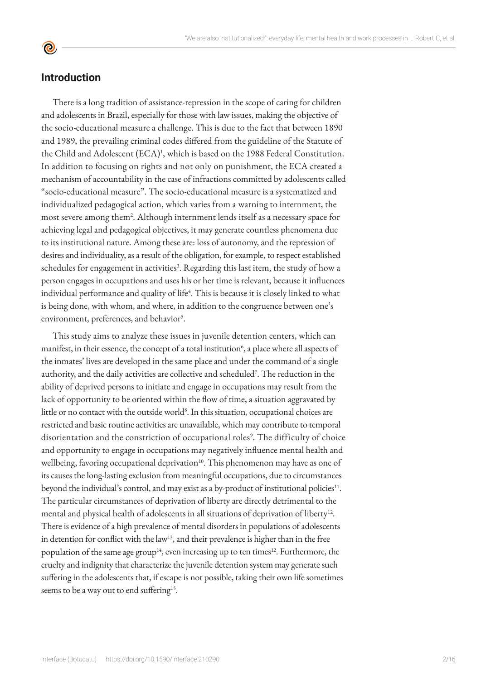## **Introduction**

There is a long tradition of assistance-repression in the scope of caring for children and adolescents in Brazil, especially for those with law issues, making the objective of the socio-educational measure a challenge. This is due to the fact that between 1890 and 1989, the prevailing criminal codes differed from the guideline of the Statute of the Child and Adolescent (ECA)<sup>1</sup>, which is based on the 1988 Federal Constitution. In addition to focusing on rights and not only on punishment, the ECA created a mechanism of accountability in the case of infractions committed by adolescents called "socio-educational measure". The socio-educational measure is a systematized and individualized pedagogical action, which varies from a warning to internment, the most severe among them2 . Although internment lends itself as a necessary space for achieving legal and pedagogical objectives, it may generate countless phenomena due to its institutional nature. Among these are: loss of autonomy, and the repression of desires and individuality, as a result of the obligation, for example, to respect established schedules for engagement in activities<sup>3</sup>. Regarding this last item, the study of how a person engages in occupations and uses his or her time is relevant, because it influences individual performance and quality of life<sup>4</sup>. This is because it is closely linked to what is being done, with whom, and where, in addition to the congruence between one's environment, preferences, and behavior<sup>5</sup>.

This study aims to analyze these issues in juvenile detention centers, which can manifest, in their essence, the concept of a total institution<sup>6</sup>, a place where all aspects of the inmates' lives are developed in the same place and under the command of a single authority, and the daily activities are collective and scheduled<sup>7</sup>. The reduction in the ability of deprived persons to initiate and engage in occupations may result from the lack of opportunity to be oriented within the flow of time, a situation aggravated by little or no contact with the outside world<sup>8</sup>. In this situation, occupational choices are restricted and basic routine activities are unavailable, which may contribute to temporal disorientation and the constriction of occupational roles<sup>9</sup>. The difficulty of choice and opportunity to engage in occupations may negatively influence mental health and wellbeing, favoring occupational deprivation<sup>10</sup>. This phenomenon may have as one of its causes the long-lasting exclusion from meaningful occupations, due to circumstances beyond the individual's control, and may exist as a by-product of institutional policies<sup>11</sup>. The particular circumstances of deprivation of liberty are directly detrimental to the mental and physical health of adolescents in all situations of deprivation of liberty<sup>12</sup>. There is evidence of a high prevalence of mental disorders in populations of adolescents in detention for conflict with the law<sup>13</sup>, and their prevalence is higher than in the free population of the same age group<sup>14</sup>, even increasing up to ten times<sup>12</sup>. Furthermore, the cruelty and indignity that characterize the juvenile detention system may generate such suffering in the adolescents that, if escape is not possible, taking their own life sometimes seems to be a way out to end suffering<sup>15</sup>.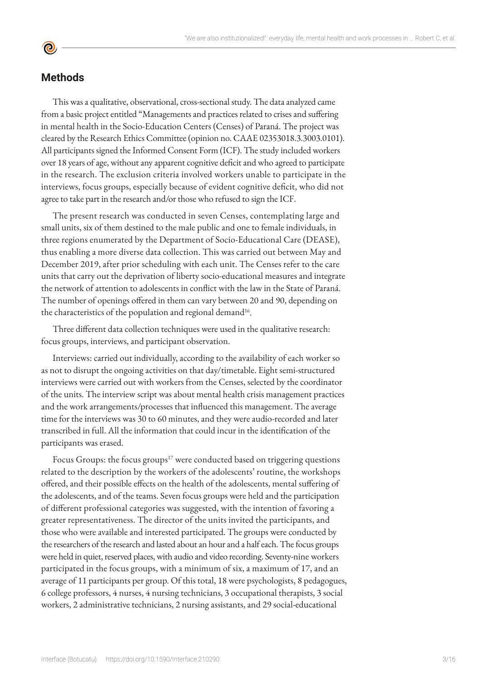## **Methods**

**©** 

This was a qualitative, observational, cross-sectional study. The data analyzed came from a basic project entitled "Managements and practices related to crises and suffering in mental health in the Socio-Education Centers (Censes) of Paraná. The project was cleared by the Research Ethics Committee (opinion no. CAAE 02353018.3.3003.0101). All participants signed the Informed Consent Form (ICF). The study included workers over 18 years of age, without any apparent cognitive deficit and who agreed to participate in the research. The exclusion criteria involved workers unable to participate in the interviews, focus groups, especially because of evident cognitive deficit, who did not agree to take part in the research and/or those who refused to sign the ICF.

The present research was conducted in seven Censes, contemplating large and small units, six of them destined to the male public and one to female individuals, in three regions enumerated by the Department of Socio-Educational Care (DEASE), thus enabling a more diverse data collection. This was carried out between May and December 2019, after prior scheduling with each unit. The Censes refer to the care units that carry out the deprivation of liberty socio-educational measures and integrate the network of attention to adolescents in conflict with the law in the State of Paraná. The number of openings offered in them can vary between 20 and 90, depending on the characteristics of the population and regional demand<sup>16</sup>.

Three different data collection techniques were used in the qualitative research: focus groups, interviews, and participant observation.

Interviews: carried out individually, according to the availability of each worker so as not to disrupt the ongoing activities on that day/timetable. Eight semi-structured interviews were carried out with workers from the Censes, selected by the coordinator of the units. The interview script was about mental health crisis management practices and the work arrangements/processes that influenced this management. The average time for the interviews was 30 to 60 minutes, and they were audio-recorded and later transcribed in full. All the information that could incur in the identification of the participants was erased.

Focus Groups: the focus groups<sup>17</sup> were conducted based on triggering questions related to the description by the workers of the adolescents' routine, the workshops offered, and their possible effects on the health of the adolescents, mental suffering of the adolescents, and of the teams. Seven focus groups were held and the participation of different professional categories was suggested, with the intention of favoring a greater representativeness. The director of the units invited the participants, and those who were available and interested participated. The groups were conducted by the researchers of the research and lasted about an hour and a half each. The focus groups were held in quiet, reserved places, with audio and video recording. Seventy-nine workers participated in the focus groups, with a minimum of six, a maximum of 17, and an average of 11 participants per group. Of this total, 18 were psychologists, 8 pedagogues, 6 college professors, 4 nurses, 4 nursing technicians, 3 occupational therapists, 3 social workers, 2 administrative technicians, 2 nursing assistants, and 29 social-educational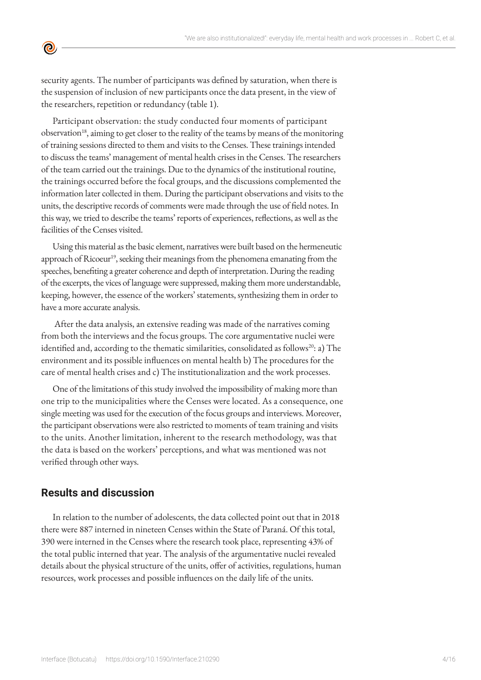security agents. The number of participants was defined by saturation, when there is the suspension of inclusion of new participants once the data present, in the view of the researchers, repetition or redundancy (table 1).

Participant observation: the study conducted four moments of participant observation<sup>18</sup>, aiming to get closer to the reality of the teams by means of the monitoring of training sessions directed to them and visits to the Censes. These trainings intended to discuss the teams' management of mental health crises in the Censes. The researchers of the team carried out the trainings. Due to the dynamics of the institutional routine, the trainings occurred before the focal groups, and the discussions complemented the information later collected in them. During the participant observations and visits to the units, the descriptive records of comments were made through the use of field notes. In this way, we tried to describe the teams' reports of experiences, reflections, as well as the facilities of the Censes visited.

Using this material as the basic element, narratives were built based on the hermeneutic approach of Ricoeur<sup>19</sup>, seeking their meanings from the phenomena emanating from the speeches, benefiting a greater coherence and depth of interpretation. During the reading of the excerpts, the vices of language were suppressed, making them more understandable, keeping, however, the essence of the workers' statements, synthesizing them in order to have a more accurate analysis.

 After the data analysis, an extensive reading was made of the narratives coming from both the interviews and the focus groups. The core argumentative nuclei were identified and, according to the thematic similarities, consolidated as follows<sup>20</sup>: a) The environment and its possible influences on mental health b) The procedures for the care of mental health crises and c) The institutionalization and the work processes.

One of the limitations of this study involved the impossibility of making more than one trip to the municipalities where the Censes were located. As a consequence, one single meeting was used for the execution of the focus groups and interviews. Moreover, the participant observations were also restricted to moments of team training and visits to the units. Another limitation, inherent to the research methodology, was that the data is based on the workers' perceptions, and what was mentioned was not verified through other ways.

## **Results and discussion**

 $\bullet$ 

In relation to the number of adolescents, the data collected point out that in 2018 there were 887 interned in nineteen Censes within the State of Paraná. Of this total, 390 were interned in the Censes where the research took place, representing 43% of the total public interned that year. The analysis of the argumentative nuclei revealed details about the physical structure of the units, offer of activities, regulations, human resources, work processes and possible influences on the daily life of the units.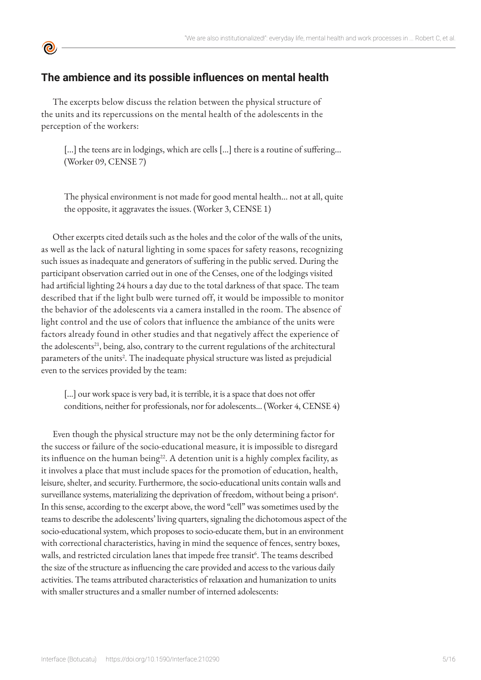## **The ambience and its possible influences on mental health**

**©** 

The excerpts below discuss the relation between the physical structure of the units and its repercussions on the mental health of the adolescents in the perception of the workers:

[...] the teens are in lodgings, which are cells [...] there is a routine of suffering... (Worker 09, CENSE 7)

The physical environment is not made for good mental health... not at all, quite the opposite, it aggravates the issues. (Worker 3, CENSE 1)

Other excerpts cited details such as the holes and the color of the walls of the units, as well as the lack of natural lighting in some spaces for safety reasons, recognizing such issues as inadequate and generators of suffering in the public served. During the participant observation carried out in one of the Censes, one of the lodgings visited had artificial lighting 24 hours a day due to the total darkness of that space. The team described that if the light bulb were turned off, it would be impossible to monitor the behavior of the adolescents via a camera installed in the room. The absence of light control and the use of colors that influence the ambiance of the units were factors already found in other studies and that negatively affect the experience of the adolescents<sup>21</sup>, being, also, contrary to the current regulations of the architectural parameters of the units<sup>2</sup>. The inadequate physical structure was listed as prejudicial even to the services provided by the team:

[...] our work space is very bad, it is terrible, it is a space that does not offer conditions, neither for professionals, nor for adolescents... (Worker 4, CENSE 4)

Even though the physical structure may not be the only determining factor for the success or failure of the socio-educational measure, it is impossible to disregard its influence on the human being<sup>22</sup>. A detention unit is a highly complex facility, as it involves a place that must include spaces for the promotion of education, health, leisure, shelter, and security. Furthermore, the socio-educational units contain walls and surveillance systems, materializing the deprivation of freedom, without being a prison $6$ . In this sense, according to the excerpt above, the word "cell" was sometimes used by the teams to describe the adolescents' living quarters, signaling the dichotomous aspect of the socio-educational system, which proposes to socio-educate them, but in an environment with correctional characteristics, having in mind the sequence of fences, sentry boxes, walls, and restricted circulation lanes that impede free transit<sup>6</sup>. The teams described the size of the structure as influencing the care provided and access to the various daily activities. The teams attributed characteristics of relaxation and humanization to units with smaller structures and a smaller number of interned adolescents: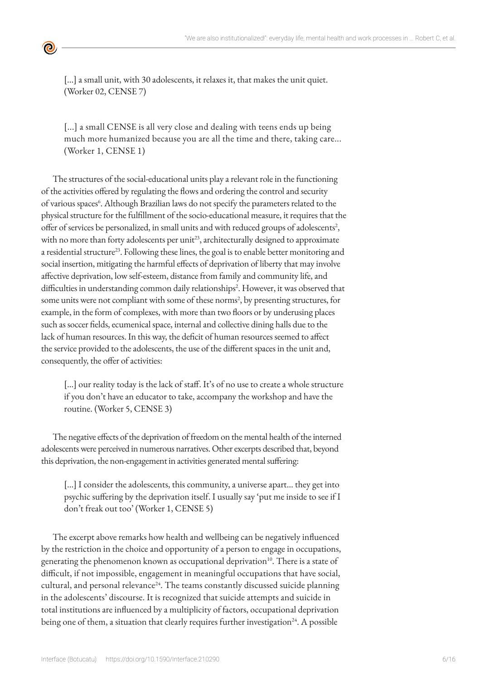[...] a small unit, with 30 adolescents, it relaxes it, that makes the unit quiet. (Worker 02, CENSE 7)

[...] a small CENSE is all very close and dealing with teens ends up being much more humanized because you are all the time and there, taking care... (Worker 1, CENSE 1)

The structures of the social-educational units play a relevant role in the functioning of the activities offered by regulating the flows and ordering the control and security of various spaces<sup>6</sup>. Although Brazilian laws do not specify the parameters related to the physical structure for the fulfillment of the socio-educational measure, it requires that the offer of services be personalized, in small units and with reduced groups of adolescents<sup>2</sup>, with no more than forty adolescents per unit<sup>23</sup>, architecturally designed to approximate a residential structure<sup>23</sup>. Following these lines, the goal is to enable better monitoring and social insertion, mitigating the harmful effects of deprivation of liberty that may involve affective deprivation, low self-esteem, distance from family and community life, and difficulties in understanding common daily relationships<sup>2</sup>. However, it was observed that some units were not compliant with some of these norms<sup>2</sup>, by presenting structures, for example, in the form of complexes, with more than two floors or by underusing places such as soccer fields, ecumenical space, internal and collective dining halls due to the lack of human resources. In this way, the deficit of human resources seemed to affect the service provided to the adolescents, the use of the different spaces in the unit and, consequently, the offer of activities:

[...] our reality today is the lack of staff. It's of no use to create a whole structure if you don't have an educator to take, accompany the workshop and have the routine. (Worker 5, CENSE 3)

The negative effects of the deprivation of freedom on the mental health of the interned adolescents were perceived in numerous narratives. Other excerpts described that, beyond this deprivation, the non-engagement in activities generated mental suffering:

[...] I consider the adolescents, this community, a universe apart... they get into psychic suffering by the deprivation itself. I usually say 'put me inside to see if I don't freak out too' (Worker 1, CENSE 5)

The excerpt above remarks how health and wellbeing can be negatively influenced by the restriction in the choice and opportunity of a person to engage in occupations, generating the phenomenon known as occupational deprivation<sup>10</sup>. There is a state of difficult, if not impossible, engagement in meaningful occupations that have social, cultural, and personal relevance<sup>24</sup>. The teams constantly discussed suicide planning in the adolescents' discourse. It is recognized that suicide attempts and suicide in total institutions are influenced by a multiplicity of factors, occupational deprivation being one of them, a situation that clearly requires further investigation<sup>24</sup>. A possible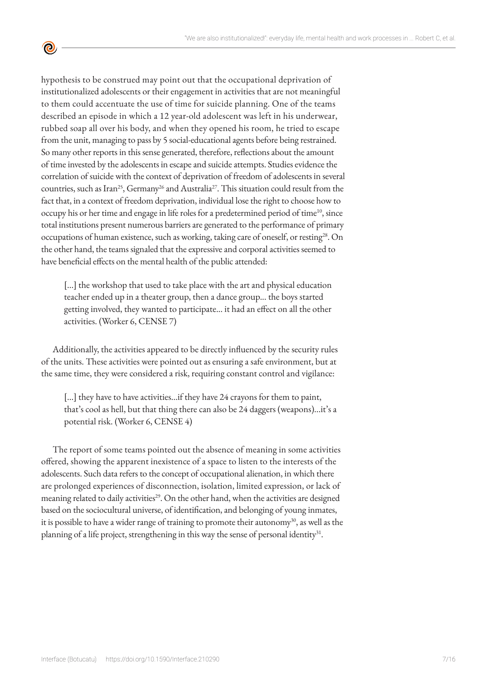hypothesis to be construed may point out that the occupational deprivation of institutionalized adolescents or their engagement in activities that are not meaningful to them could accentuate the use of time for suicide planning. One of the teams described an episode in which a 12 year-old adolescent was left in his underwear, rubbed soap all over his body, and when they opened his room, he tried to escape from the unit, managing to pass by 5 social-educational agents before being restrained. So many other reports in this sense generated, therefore, reflections about the amount of time invested by the adolescents in escape and suicide attempts. Studies evidence the correlation of suicide with the context of deprivation of freedom of adolescents in several countries, such as Iran<sup>25</sup>, Germany<sup>26</sup> and Australia<sup>27</sup>. This situation could result from the fact that, in a context of freedom deprivation, individual lose the right to choose how to occupy his or her time and engage in life roles for a predetermined period of time<sup>10</sup>, since total institutions present numerous barriers are generated to the performance of primary occupations of human existence, such as working, taking care of oneself, or resting<sup>28</sup>. On the other hand, the teams signaled that the expressive and corporal activities seemed to have beneficial effects on the mental health of the public attended:

<u>ල</u>

[...] the workshop that used to take place with the art and physical education teacher ended up in a theater group, then a dance group... the boys started getting involved, they wanted to participate... it had an effect on all the other activities. (Worker 6, CENSE 7)

Additionally, the activities appeared to be directly influenced by the security rules of the units. These activities were pointed out as ensuring a safe environment, but at the same time, they were considered a risk, requiring constant control and vigilance:

[...] they have to have activities...if they have 24 crayons for them to paint, that's cool as hell, but that thing there can also be 24 daggers (weapons)...it's a potential risk. (Worker 6, CENSE 4)

The report of some teams pointed out the absence of meaning in some activities offered, showing the apparent inexistence of a space to listen to the interests of the adolescents. Such data refers to the concept of occupational alienation, in which there are prolonged experiences of disconnection, isolation, limited expression, or lack of meaning related to daily activities<sup>29</sup>. On the other hand, when the activities are designed based on the sociocultural universe, of identification, and belonging of young inmates, it is possible to have a wider range of training to promote their autonomy<sup>30</sup>, as well as the planning of a life project, strengthening in this way the sense of personal identity<sup>31</sup>.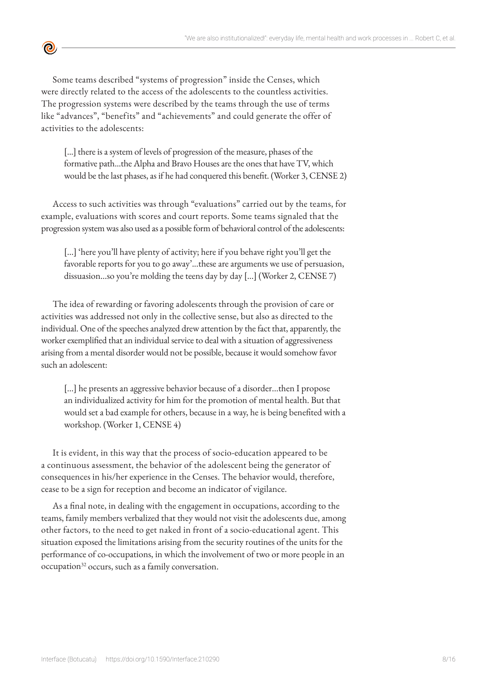

Some teams described "systems of progression" inside the Censes, which were directly related to the access of the adolescents to the countless activities. The progression systems were described by the teams through the use of terms like "advances", "benefits" and "achievements" and could generate the offer of activities to the adolescents:

[...] there is a system of levels of progression of the measure, phases of the formative path...the Alpha and Bravo Houses are the ones that have TV, which would be the last phases, as if he had conquered this benefit. (Worker 3, CENSE 2)

Access to such activities was through "evaluations" carried out by the teams, for example, evaluations with scores and court reports. Some teams signaled that the progression system was also used as a possible form of behavioral control of the adolescents:

[...] 'here you'll have plenty of activity; here if you behave right you'll get the favorable reports for you to go away'...these are arguments we use of persuasion, dissuasion...so you're molding the teens day by day [...] (Worker 2, CENSE 7)

The idea of rewarding or favoring adolescents through the provision of care or activities was addressed not only in the collective sense, but also as directed to the individual. One of the speeches analyzed drew attention by the fact that, apparently, the worker exemplified that an individual service to deal with a situation of aggressiveness arising from a mental disorder would not be possible, because it would somehow favor such an adolescent:

[...] he presents an aggressive behavior because of a disorder...then I propose an individualized activity for him for the promotion of mental health. But that would set a bad example for others, because in a way, he is being benefited with a workshop. (Worker 1, CENSE 4)

It is evident, in this way that the process of socio-education appeared to be a continuous assessment, the behavior of the adolescent being the generator of consequences in his/her experience in the Censes. The behavior would, therefore, cease to be a sign for reception and become an indicator of vigilance.

As a final note, in dealing with the engagement in occupations, according to the teams, family members verbalized that they would not visit the adolescents due, among other factors, to the need to get naked in front of a socio-educational agent. This situation exposed the limitations arising from the security routines of the units for the performance of co-occupations, in which the involvement of two or more people in an occupation<sup>32</sup> occurs, such as a family conversation.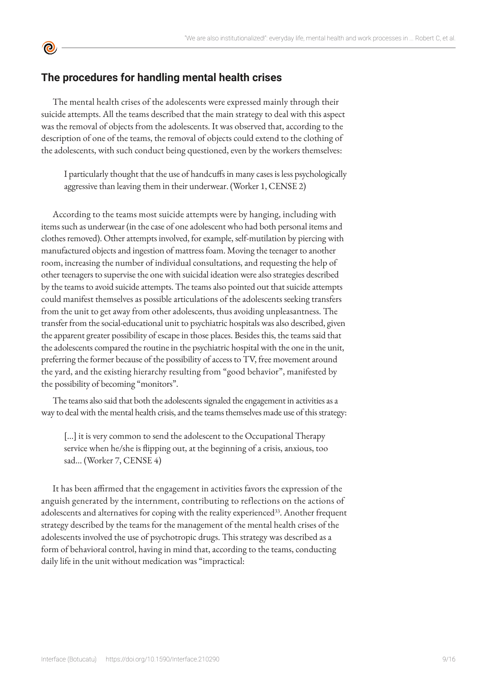## **The procedures for handling mental health crises**

<u>ල</u>

The mental health crises of the adolescents were expressed mainly through their suicide attempts. All the teams described that the main strategy to deal with this aspect was the removal of objects from the adolescents. It was observed that, according to the description of one of the teams, the removal of objects could extend to the clothing of the adolescents, with such conduct being questioned, even by the workers themselves:

I particularly thought that the use of handcuffs in many cases is less psychologically aggressive than leaving them in their underwear. (Worker 1, CENSE 2)

According to the teams most suicide attempts were by hanging, including with items such as underwear (in the case of one adolescent who had both personal items and clothes removed). Other attempts involved, for example, self-mutilation by piercing with manufactured objects and ingestion of mattress foam. Moving the teenager to another room, increasing the number of individual consultations, and requesting the help of other teenagers to supervise the one with suicidal ideation were also strategies described by the teams to avoid suicide attempts. The teams also pointed out that suicide attempts could manifest themselves as possible articulations of the adolescents seeking transfers from the unit to get away from other adolescents, thus avoiding unpleasantness. The transfer from the social-educational unit to psychiatric hospitals was also described, given the apparent greater possibility of escape in those places. Besides this, the teams said that the adolescents compared the routine in the psychiatric hospital with the one in the unit, preferring the former because of the possibility of access to TV, free movement around the yard, and the existing hierarchy resulting from "good behavior", manifested by the possibility of becoming "monitors".

The teams also said that both the adolescents signaled the engagement in activities as a way to deal with the mental health crisis, and the teams themselves made use of this strategy:

[...] it is very common to send the adolescent to the Occupational Therapy service when he/she is flipping out, at the beginning of a crisis, anxious, too sad... (Worker 7, CENSE 4)

It has been affirmed that the engagement in activities favors the expression of the anguish generated by the internment, contributing to reflections on the actions of adolescents and alternatives for coping with the reality experienced<sup>33</sup>. Another frequent strategy described by the teams for the management of the mental health crises of the adolescents involved the use of psychotropic drugs. This strategy was described as a form of behavioral control, having in mind that, according to the teams, conducting daily life in the unit without medication was "impractical: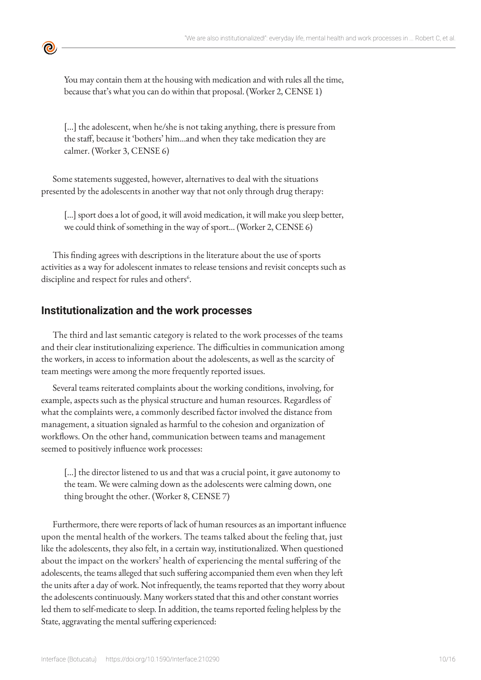

You may contain them at the housing with medication and with rules all the time, because that's what you can do within that proposal. (Worker 2, CENSE 1)

[...] the adolescent, when he/she is not taking anything, there is pressure from the staff, because it 'bothers' him...and when they take medication they are calmer. (Worker 3, CENSE 6)

Some statements suggested, however, alternatives to deal with the situations presented by the adolescents in another way that not only through drug therapy:

[...] sport does a lot of good, it will avoid medication, it will make you sleep better, we could think of something in the way of sport... (Worker 2, CENSE 6)

This finding agrees with descriptions in the literature about the use of sports activities as a way for adolescent inmates to release tensions and revisit concepts such as discipline and respect for rules and others<sup>6</sup>.

## **Institutionalization and the work processes**

The third and last semantic category is related to the work processes of the teams and their clear institutionalizing experience. The difficulties in communication among the workers, in access to information about the adolescents, as well as the scarcity of team meetings were among the more frequently reported issues.

Several teams reiterated complaints about the working conditions, involving, for example, aspects such as the physical structure and human resources. Regardless of what the complaints were, a commonly described factor involved the distance from management, a situation signaled as harmful to the cohesion and organization of workflows. On the other hand, communication between teams and management seemed to positively influence work processes:

[...] the director listened to us and that was a crucial point, it gave autonomy to the team. We were calming down as the adolescents were calming down, one thing brought the other. (Worker 8, CENSE 7)

Furthermore, there were reports of lack of human resources as an important influence upon the mental health of the workers. The teams talked about the feeling that, just like the adolescents, they also felt, in a certain way, institutionalized. When questioned about the impact on the workers' health of experiencing the mental suffering of the adolescents, the teams alleged that such suffering accompanied them even when they left the units after a day of work. Not infrequently, the teams reported that they worry about the adolescents continuously. Many workers stated that this and other constant worries led them to self-medicate to sleep. In addition, the teams reported feeling helpless by the State, aggravating the mental suffering experienced: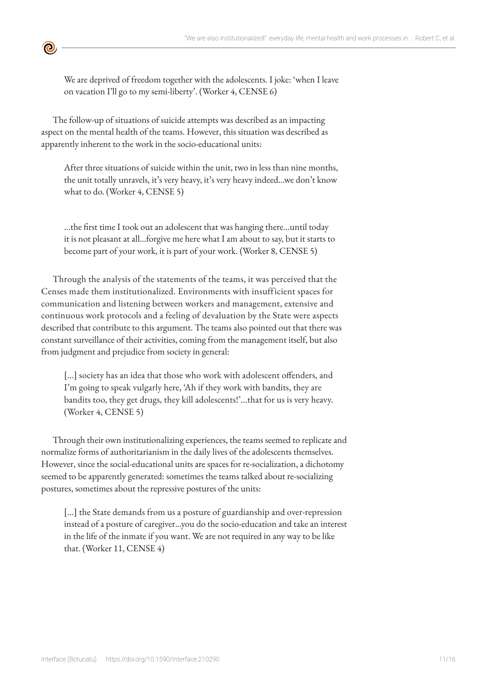We are deprived of freedom together with the adolescents. I joke: 'when I leave on vacation I'll go to my semi-liberty'. (Worker 4, CENSE 6)

The follow-up of situations of suicide attempts was described as an impacting aspect on the mental health of the teams. However, this situation was described as apparently inherent to the work in the socio-educational units:

<u>ල</u>

After three situations of suicide within the unit, two in less than nine months, the unit totally unravels, it's very heavy, it's very heavy indeed...we don't know what to do. (Worker 4, CENSE 5)

...the first time I took out an adolescent that was hanging there...until today it is not pleasant at all...forgive me here what I am about to say, but it starts to become part of your work, it is part of your work. (Worker 8, CENSE 5)

Through the analysis of the statements of the teams, it was perceived that the Censes made them institutionalized. Environments with insufficient spaces for communication and listening between workers and management, extensive and continuous work protocols and a feeling of devaluation by the State were aspects described that contribute to this argument. The teams also pointed out that there was constant surveillance of their activities, coming from the management itself, but also from judgment and prejudice from society in general:

[...] society has an idea that those who work with adolescent offenders, and I'm going to speak vulgarly here, 'Ah if they work with bandits, they are bandits too, they get drugs, they kill adolescents!'...that for us is very heavy. (Worker 4, CENSE 5)

Through their own institutionalizing experiences, the teams seemed to replicate and normalize forms of authoritarianism in the daily lives of the adolescents themselves. However, since the social-educational units are spaces for re-socialization, a dichotomy seemed to be apparently generated: sometimes the teams talked about re-socializing postures, sometimes about the repressive postures of the units:

[...] the State demands from us a posture of guardianship and over-repression instead of a posture of caregiver...you do the socio-education and take an interest in the life of the inmate if you want. We are not required in any way to be like that. (Worker 11, CENSE 4)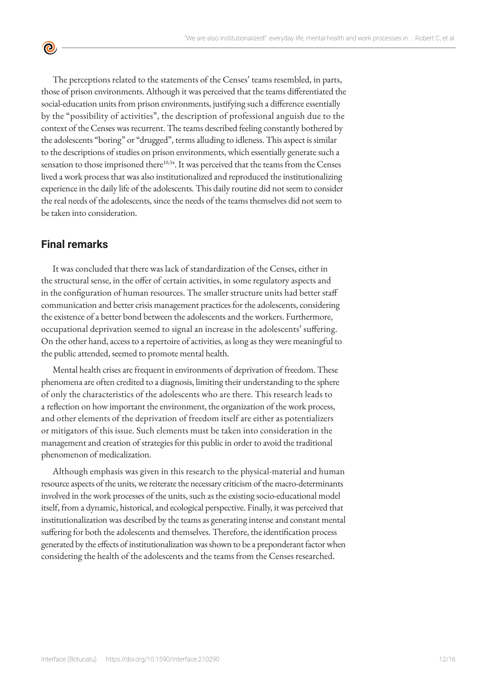$\bullet$ 

The perceptions related to the statements of the Censes' teams resembled, in parts, those of prison environments. Although it was perceived that the teams differentiated the social-education units from prison environments, justifying such a difference essentially by the "possibility of activities", the description of professional anguish due to the context of the Censes was recurrent. The teams described feeling constantly bothered by the adolescents "boring" or "drugged", terms alluding to idleness. This aspect is similar to the descriptions of studies on prison environments, which essentially generate such a sensation to those imprisoned there<sup>10,34</sup>. It was perceived that the teams from the Censes lived a work process that was also institutionalized and reproduced the institutionalizing experience in the daily life of the adolescents. This daily routine did not seem to consider the real needs of the adolescents, since the needs of the teams themselves did not seem to be taken into consideration.

## **Final remarks**

It was concluded that there was lack of standardization of the Censes, either in the structural sense, in the offer of certain activities, in some regulatory aspects and in the configuration of human resources. The smaller structure units had better staff communication and better crisis management practices for the adolescents, considering the existence of a better bond between the adolescents and the workers. Furthermore, occupational deprivation seemed to signal an increase in the adolescents' suffering. On the other hand, access to a repertoire of activities, as long as they were meaningful to the public attended, seemed to promote mental health.

Mental health crises are frequent in environments of deprivation of freedom. These phenomena are often credited to a diagnosis, limiting their understanding to the sphere of only the characteristics of the adolescents who are there. This research leads to a reflection on how important the environment, the organization of the work process, and other elements of the deprivation of freedom itself are either as potentializers or mitigators of this issue. Such elements must be taken into consideration in the management and creation of strategies for this public in order to avoid the traditional phenomenon of medicalization.

Although emphasis was given in this research to the physical-material and human resource aspects of the units, we reiterate the necessary criticism of the macro-determinants involved in the work processes of the units, such as the existing socio-educational model itself, from a dynamic, historical, and ecological perspective. Finally, it was perceived that institutionalization was described by the teams as generating intense and constant mental suffering for both the adolescents and themselves. Therefore, the identification process generated by the effects of institutionalization was shown to be a preponderant factor when considering the health of the adolescents and the teams from the Censes researched.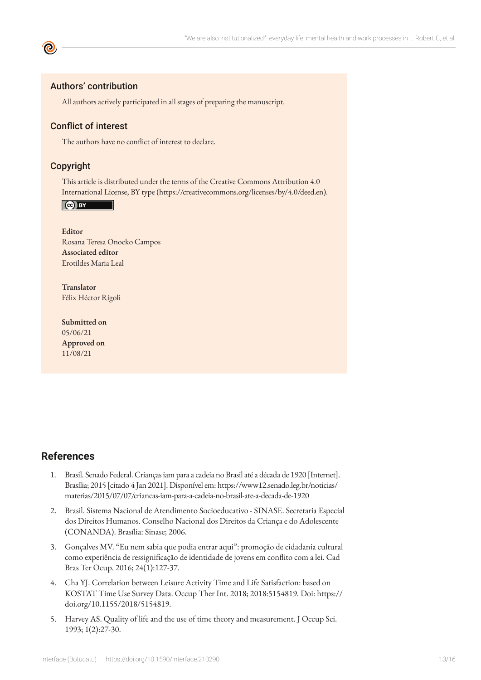#### Authors' contribution

All authors actively participated in all stages of preparing the manuscript.

#### Conflict of interest

The authors have no conflict of interest to declare.

#### Copyright

This article is distributed under the terms of the Creative Commons Attribution 4.0 International License, BY type (https://creativecommons.org/licenses/by/4.0/deed.en).

Cc) BY

**Editor** Rosana Teresa Onocko Campos **Associated editor** Erotildes Maria Leal

**Translator** Félix Héctor Rígoli

**Submitted on** 05/06/21 **Approved on** 11/08/21

### **References**

- 1. Brasil. Senado Federal. Crianças iam para a cadeia no Brasil até a década de 1920 [Internet]. Brasília; 2015 [citado 4 Jan 2021]. Disponível em: https://www12.senado.leg.br/noticias/ materias/2015/07/07/criancas-iam-para-a-cadeia-no-brasil-ate-a-decada-de-1920
- 2. Brasil. Sistema Nacional de Atendimento Socioeducativo SINASE. Secretaria Especial dos Direitos Humanos. Conselho Nacional dos Direitos da Criança e do Adolescente (CONANDA). Brasília: Sinase; 2006.
- 3. Gonçalves MV. "Eu nem sabia que podia entrar aqui": promoção de cidadania cultural como experiência de ressignificação de identidade de jovens em conflito com a lei. Cad Bras Ter Ocup. 2016; 24(1):127-37.
- 4. Cha YJ. Correlation between Leisure Activity Time and Life Satisfaction: based on KOSTAT Time Use Survey Data. Occup Ther Int. 2018; 2018:5154819. Doi: https:// doi.org/10.1155/2018/5154819.
- 5. Harvey AS. Quality of life and the use of time theory and measurement. J Occup Sci. 1993; 1(2):27-30.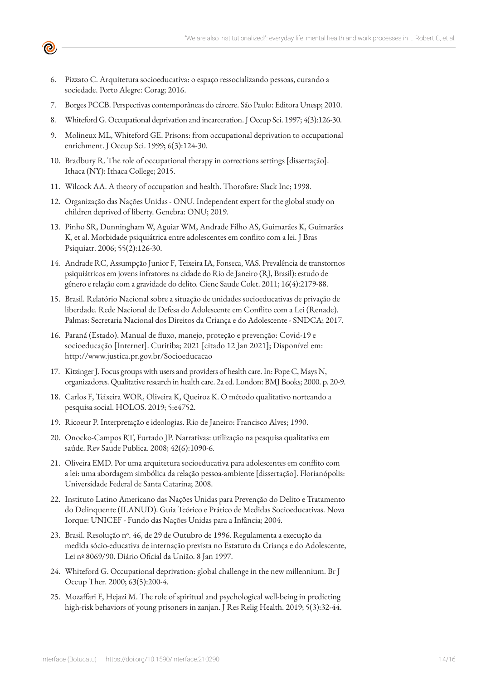6. Pizzato C. Arquitetura socioeducativa: o espaço ressocializando pessoas, curando a sociedade. Porto Alegre: Corag; 2016.

 $\boldsymbol{\Theta}$ 

- 7. Borges PCCB. Perspectivas contemporâneas do cárcere. São Paulo: Editora Unesp; 2010.
- 8. Whiteford G. Occupational deprivation and incarceration. J Occup Sci. 1997; 4(3):126-30.
- 9. Molineux ML, Whiteford GE. Prisons: from occupational deprivation to occupational enrichment. J Occup Sci. 1999; 6(3):124-30.
- 10. Bradbury R. The role of occupational therapy in corrections settings [dissertação]. Ithaca (NY): Ithaca College; 2015.
- 11. Wilcock AA. A theory of occupation and health. Thorofare: Slack Inc; 1998.
- 12. Organização das Nações Unidas ONU. Independent expert for the global study on children deprived of liberty. Genebra: ONU; 2019.
- 13. Pinho SR, Dunningham W, Aguiar WM, Andrade Filho AS, Guimarães K, Guimarães K, et al. Morbidade psiquiátrica entre adolescentes em conflito com a lei. J Bras Psiquiatr. 2006; 55(2):126-30.
- 14. Andrade RC, Assumpção Junior F, Teixeira IA, Fonseca, VAS. Prevalência de transtornos psiquiátricos em jovens infratores na cidade do Rio de Janeiro (RJ, Brasil): estudo de gênero e relação com a gravidade do delito. Cienc Saude Colet. 2011; 16(4):2179-88.
- 15. Brasil. Relatório Nacional sobre a situação de unidades socioeducativas de privação de liberdade. Rede Nacional de Defesa do Adolescente em Conflito com a Lei (Renade). Palmas: Secretaria Nacional dos Direitos da Criança e do Adolescente - SNDCA; 2017.
- 16. Paraná (Estado). Manual de fluxo, manejo, proteção e prevenção: Covid-19 e socioeducação [Internet]. Curitiba; 2021 [citado 12 Jan 2021]; Disponível em: http://www.justica.pr.gov.br/Socioeducacao
- 17. Kitzinger J. Focus groups with users and providers of health care. In: Pope C, Mays N, organizadores. Qualitative research in health care. 2a ed. London: BMJ Books; 2000. p. 20-9.
- 18. Carlos F, Teixeira WOR, Oliveira K, Queiroz K. O método qualitativo norteando a pesquisa social. HOLOS. 2019; 5:e4752.
- 19. Ricoeur P. Interpretação e ideologias. Rio de Janeiro: Francisco Alves; 1990.
- 20. Onocko-Campos RT, Furtado JP. Narrativas: utilização na pesquisa qualitativa em saúde. Rev Saude Publica. 2008; 42(6):1090-6.
- 21. Oliveira EMD. Por uma arquitetura socioeducativa para adolescentes em conflito com a lei: uma abordagem simbólica da relação pessoa-ambiente [dissertação]. Florianópolis: Universidade Federal de Santa Catarina; 2008.
- 22. Instituto Latino Americano das Nações Unidas para Prevenção do Delito e Tratamento do Delinquente (ILANUD). Guia Teórico e Prático de Medidas [Socioeducativas](http://www.crianca.mppr.mp.br/arquivos/File/politica_socioeducativa/doutrina/Guia_teorico_e_pratico_de_medidas_socioeducativas_ILANUD.pdf). Nova Iorque: UNICEF - Fundo das Nações Unidas para a Infância; 2004.
- 23. Brasil. Resolução nº. 46, de 29 de Outubro de 1996. Regulamenta a execução da medida sócio-educativa de internação prevista no Estatuto da Criança e do Adolescente, Lei nº 8069/90. Diário Oficial da União. 8 Jan 1997.
- 24. Whiteford G. Occupational deprivation: global challenge in the new millennium. Br J Occup Ther. 2000; 63(5):200-4.
- 25. Mozaffari F, Hejazi M. The role of spiritual and psychological well-being in predicting high-risk behaviors of young prisoners in zanjan. J Res Relig Health. 2019; 5(3):32-44.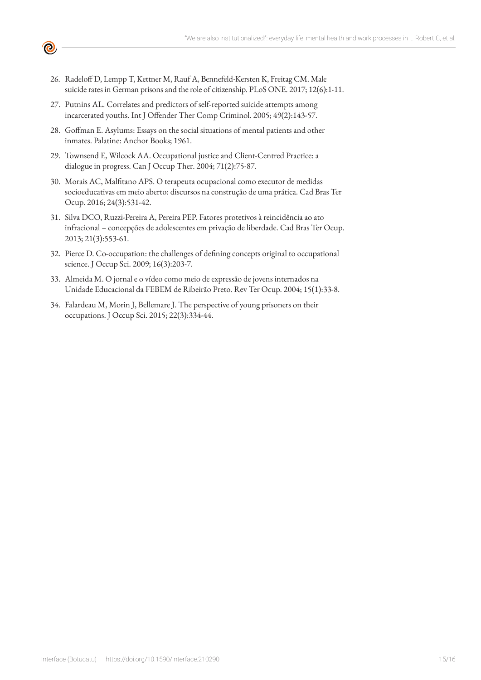

- 26. Radeloff D, Lempp T, Kettner M, Rauf A, Bennefeld-Kersten K, Freitag CM. Male suicide rates in German prisons and the role of citizenship. PLoS ONE. 2017; 12(6):1-11.
- 27. Putnins AL. Correlates and predictors of self-reported suicide attempts among incarcerated youths. Int J Offender Ther Comp Criminol. 2005; 49(2):143-57.
- 28. Goffman E. Asylums: Essays on the social situations of mental patients and other inmates. Palatine: Anchor Books; 1961.
- 29. Townsend E, Wilcock AA. Occupational justice and Client-Centred Practice: a dialogue in progress. Can J Occup Ther. 2004; 71(2):75-87.
- 30. Morais AC, Malfitano APS. O terapeuta ocupacional como executor de medidas socioeducativas em meio aberto: discursos na construção de uma prática. Cad Bras Ter Ocup. 2016; 24(3):531-42.
- 31. Silva DCO, Ruzzi-Pereira A, Pereira PEP. Fatores protetivos à reincidência ao ato infracional – concepções de adolescentes em privação de liberdade. Cad Bras Ter Ocup. 2013; 21(3):553-61.
- 32. Pierce D. Co-occupation: the challenges of defining concepts original to occupational science. J Occup Sci. 2009; 16(3):203-7.
- 33. Almeida M. O jornal e o vídeo como meio de expressão de jovens internados na Unidade Educacional da FEBEM de Ribeirão Preto. Rev Ter Ocup. 2004; 15(1):33-8.
- 34. Falardeau M, Morin J, Bellemare J. The perspective of young prisoners on their occupations. J Occup Sci. 2015; 22(3):334-44.